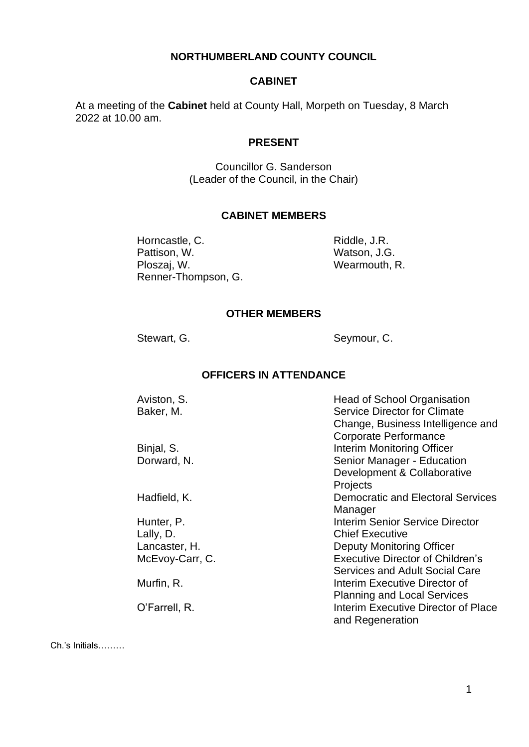#### **NORTHUMBERLAND COUNTY COUNCIL**

#### **CABINET**

At a meeting of the **Cabinet** held at County Hall, Morpeth on Tuesday, 8 March 2022 at 10.00 am.

## **PRESENT**

Councillor G. Sanderson (Leader of the Council, in the Chair)

### **CABINET MEMBERS**

Horncastle, C. Pattison, W. Ploszaj, W. Renner-Thompson, G. Riddle, J.R. Watson, J.G. Wearmouth, R.

#### **OTHER MEMBERS**

Stewart, G. Seymour, C.

### **OFFICERS IN ATTENDANCE**

| Aviston, S.     | <b>Head of School Organisation</b>       |
|-----------------|------------------------------------------|
| Baker, M.       | <b>Service Director for Climate</b>      |
|                 | Change, Business Intelligence and        |
|                 | Corporate Performance                    |
| Binjal, S.      | Interim Monitoring Officer               |
| Dorward, N.     | Senior Manager - Education               |
|                 | Development & Collaborative              |
|                 | Projects                                 |
| Hadfield, K.    | <b>Democratic and Electoral Services</b> |
|                 | Manager                                  |
| Hunter, P.      | Interim Senior Service Director          |
| Lally, D.       | <b>Chief Executive</b>                   |
| Lancaster, H.   | Deputy Monitoring Officer                |
| McEvoy-Carr, C. | <b>Executive Director of Children's</b>  |
|                 | Services and Adult Social Care           |
| Murfin, R.      | Interim Executive Director of            |
|                 | <b>Planning and Local Services</b>       |
| O'Farrell, R.   | Interim Executive Director of Place      |
|                 | and Regeneration                         |
|                 |                                          |

Ch.'s Initials………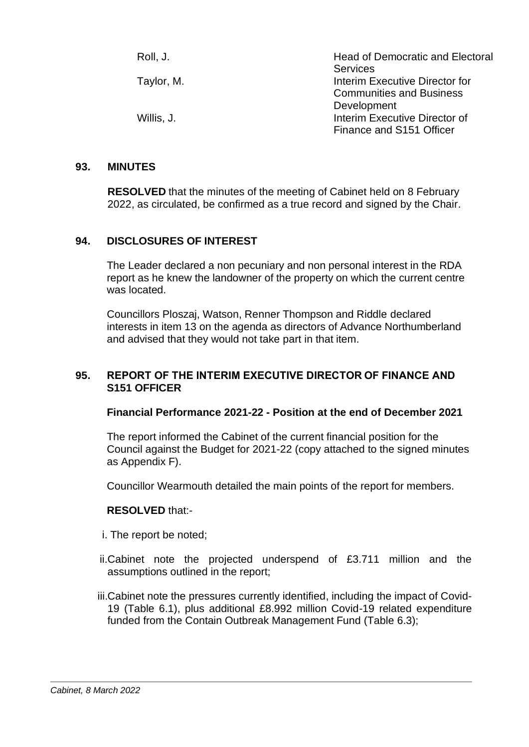| Roll, J.   | <b>Head of Democratic and Electoral</b><br><b>Services</b> |
|------------|------------------------------------------------------------|
| Taylor, M. | Interim Executive Director for                             |
|            | <b>Communities and Business</b><br>Development             |
| Willis, J. | Interim Executive Director of<br>Finance and S151 Officer  |

#### **93. MINUTES**

**RESOLVED** that the minutes of the meeting of Cabinet held on 8 February 2022, as circulated, be confirmed as a true record and signed by the Chair.

### **94. DISCLOSURES OF INTEREST**

The Leader declared a non pecuniary and non personal interest in the RDA report as he knew the landowner of the property on which the current centre was located.

Councillors Ploszaj, Watson, Renner Thompson and Riddle declared interests in item 13 on the agenda as directors of Advance Northumberland and advised that they would not take part in that item.

### **95. REPORT OF THE INTERIM EXECUTIVE DIRECTOR OF FINANCE AND S151 OFFICER**

#### **Financial Performance 2021-22 - Position at the end of December 2021**

The report informed the Cabinet of the current financial position for the Council against the Budget for 2021-22 (copy attached to the signed minutes as Appendix F).

Councillor Wearmouth detailed the main points of the report for members.

- i. The report be noted;
- ii.Cabinet note the projected underspend of £3.711 million and the assumptions outlined in the report;
- iii.Cabinet note the pressures currently identified, including the impact of Covid-19 (Table 6.1), plus additional £8.992 million Covid-19 related expenditure funded from the Contain Outbreak Management Fund (Table 6.3);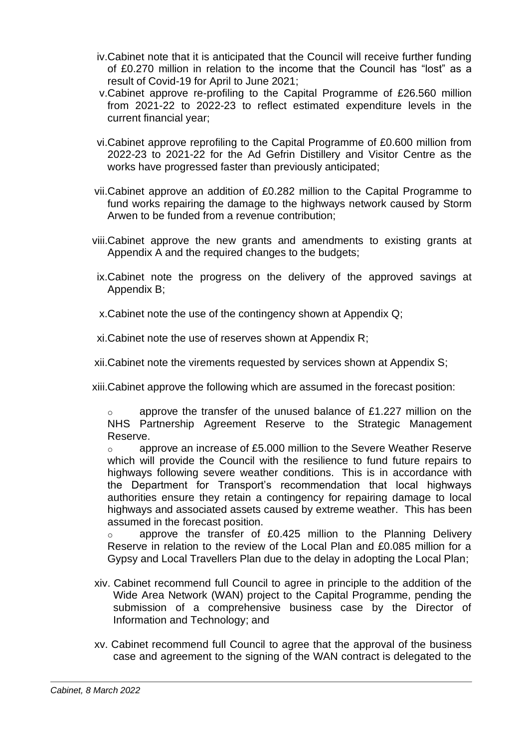- iv.Cabinet note that it is anticipated that the Council will receive further funding of £0.270 million in relation to the income that the Council has "lost" as a result of Covid-19 for April to June 2021;
- v.Cabinet approve re-profiling to the Capital Programme of £26.560 million from 2021-22 to 2022-23 to reflect estimated expenditure levels in the current financial year;
- vi.Cabinet approve reprofiling to the Capital Programme of £0.600 million from 2022-23 to 2021-22 for the Ad Gefrin Distillery and Visitor Centre as the works have progressed faster than previously anticipated;
- vii.Cabinet approve an addition of £0.282 million to the Capital Programme to fund works repairing the damage to the highways network caused by Storm Arwen to be funded from a revenue contribution;
- viii.Cabinet approve the new grants and amendments to existing grants at Appendix A and the required changes to the budgets;
- ix.Cabinet note the progress on the delivery of the approved savings at Appendix B;
- x.Cabinet note the use of the contingency shown at Appendix Q;

xi.Cabinet note the use of reserves shown at Appendix R;

xii.Cabinet note the virements requested by services shown at Appendix S;

xiii.Cabinet approve the following which are assumed in the forecast position:

o approve the transfer of the unused balance of £1.227 million on the NHS Partnership Agreement Reserve to the Strategic Management Reserve.

 $\circ$  approve an increase of £5.000 million to the Severe Weather Reserve which will provide the Council with the resilience to fund future repairs to highways following severe weather conditions. This is in accordance with the Department for Transport's recommendation that local highways authorities ensure they retain a contingency for repairing damage to local highways and associated assets caused by extreme weather. This has been assumed in the forecast position.

o approve the transfer of £0.425 million to the Planning Delivery Reserve in relation to the review of the Local Plan and £0.085 million for a Gypsy and Local Travellers Plan due to the delay in adopting the Local Plan;

- xiv. Cabinet recommend full Council to agree in principle to the addition of the Wide Area Network (WAN) project to the Capital Programme, pending the submission of a comprehensive business case by the Director of Information and Technology; and
- xv. Cabinet recommend full Council to agree that the approval of the business case and agreement to the signing of the WAN contract is delegated to the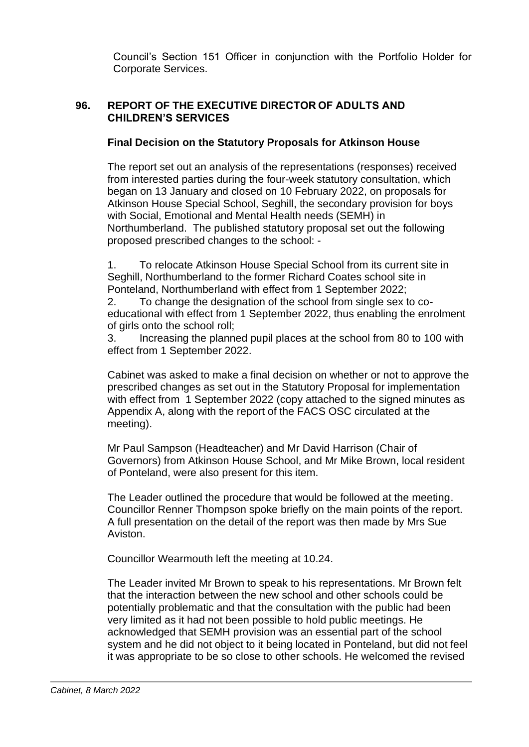Council's Section 151 Officer in conjunction with the Portfolio Holder for Corporate Services.

# **96. REPORT OF THE EXECUTIVE DIRECTOR OF ADULTS AND CHILDREN'S SERVICES**

# **Final Decision on the Statutory Proposals for Atkinson House**

The report set out an analysis of the representations (responses) received from interested parties during the four-week statutory consultation, which began on 13 January and closed on 10 February 2022, on proposals for Atkinson House Special School, Seghill, the secondary provision for boys with Social, Emotional and Mental Health needs (SEMH) in Northumberland. The published statutory proposal set out the following proposed prescribed changes to the school: -

1. To relocate Atkinson House Special School from its current site in Seghill, Northumberland to the former Richard Coates school site in Ponteland, Northumberland with effect from 1 September 2022;

2. To change the designation of the school from single sex to coeducational with effect from 1 September 2022, thus enabling the enrolment of girls onto the school roll;

3. Increasing the planned pupil places at the school from 80 to 100 with effect from 1 September 2022.

Cabinet was asked to make a final decision on whether or not to approve the prescribed changes as set out in the Statutory Proposal for implementation with effect from 1 September 2022 (copy attached to the signed minutes as Appendix A, along with the report of the FACS OSC circulated at the meeting).

Mr Paul Sampson (Headteacher) and Mr David Harrison (Chair of Governors) from Atkinson House School, and Mr Mike Brown, local resident of Ponteland, were also present for this item.

The Leader outlined the procedure that would be followed at the meeting. Councillor Renner Thompson spoke briefly on the main points of the report. A full presentation on the detail of the report was then made by Mrs Sue Aviston.

Councillor Wearmouth left the meeting at 10.24.

The Leader invited Mr Brown to speak to his representations. Mr Brown felt that the interaction between the new school and other schools could be potentially problematic and that the consultation with the public had been very limited as it had not been possible to hold public meetings. He acknowledged that SEMH provision was an essential part of the school system and he did not object to it being located in Ponteland, but did not feel it was appropriate to be so close to other schools. He welcomed the revised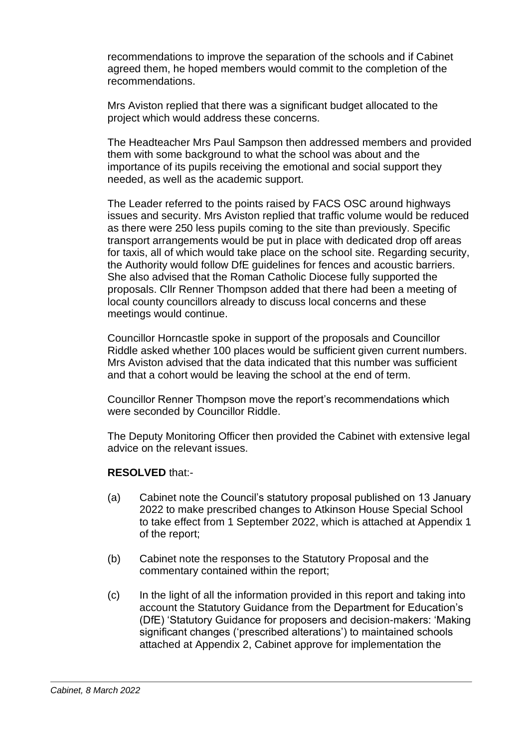recommendations to improve the separation of the schools and if Cabinet agreed them, he hoped members would commit to the completion of the recommendations.

Mrs Aviston replied that there was a significant budget allocated to the project which would address these concerns.

The Headteacher Mrs Paul Sampson then addressed members and provided them with some background to what the school was about and the importance of its pupils receiving the emotional and social support they needed, as well as the academic support.

The Leader referred to the points raised by FACS OSC around highways issues and security. Mrs Aviston replied that traffic volume would be reduced as there were 250 less pupils coming to the site than previously. Specific transport arrangements would be put in place with dedicated drop off areas for taxis, all of which would take place on the school site. Regarding security, the Authority would follow DfE guidelines for fences and acoustic barriers. She also advised that the Roman Catholic Diocese fully supported the proposals. Cllr Renner Thompson added that there had been a meeting of local county councillors already to discuss local concerns and these meetings would continue.

Councillor Horncastle spoke in support of the proposals and Councillor Riddle asked whether 100 places would be sufficient given current numbers. Mrs Aviston advised that the data indicated that this number was sufficient and that a cohort would be leaving the school at the end of term.

Councillor Renner Thompson move the report's recommendations which were seconded by Councillor Riddle.

The Deputy Monitoring Officer then provided the Cabinet with extensive legal advice on the relevant issues.

- (a) Cabinet note the Council's statutory proposal published on 13 January 2022 to make prescribed changes to Atkinson House Special School to take effect from 1 September 2022, which is attached at Appendix 1 of the report;
- (b) Cabinet note the responses to the Statutory Proposal and the commentary contained within the report;
- (c) In the light of all the information provided in this report and taking into account the Statutory Guidance from the Department for Education's (DfE) 'Statutory Guidance for proposers and decision-makers: 'Making significant changes ('prescribed alterations') to maintained schools attached at Appendix 2, Cabinet approve for implementation the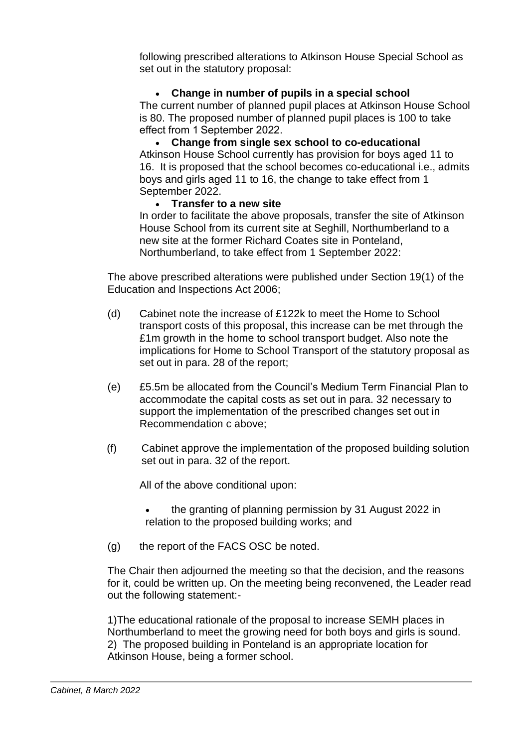following prescribed alterations to Atkinson House Special School as set out in the statutory proposal:

# • **Change in number of pupils in a special school**

The current number of planned pupil places at Atkinson House School is 80. The proposed number of planned pupil places is 100 to take effect from 1 September 2022.

• **Change from single sex school to co-educational** Atkinson House School currently has provision for boys aged 11 to 16. It is proposed that the school becomes co-educational i.e., admits boys and girls aged 11 to 16, the change to take effect from 1 September 2022.

## • **Transfer to a new site**

In order to facilitate the above proposals, transfer the site of Atkinson House School from its current site at Seghill, Northumberland to a new site at the former Richard Coates site in Ponteland, Northumberland, to take effect from 1 September 2022:

The above prescribed alterations were published under Section 19(1) of the Education and Inspections Act 2006;

- (d) Cabinet note the increase of £122k to meet the Home to School transport costs of this proposal, this increase can be met through the £1m growth in the home to school transport budget. Also note the implications for Home to School Transport of the statutory proposal as set out in para. 28 of the report;
- (e) £5.5m be allocated from the Council's Medium Term Financial Plan to accommodate the capital costs as set out in para. 32 necessary to support the implementation of the prescribed changes set out in Recommendation c above;
- (f) Cabinet approve the implementation of the proposed building solution set out in para. 32 of the report.

All of the above conditional upon:

- the granting of planning permission by 31 August 2022 in relation to the proposed building works; and
- (g) the report of the FACS OSC be noted.

The Chair then adjourned the meeting so that the decision, and the reasons for it, could be written up. On the meeting being reconvened, the Leader read out the following statement:-

1)The educational rationale of the proposal to increase SEMH places in Northumberland to meet the growing need for both boys and girls is sound. 2) The proposed building in Ponteland is an appropriate location for Atkinson House, being a former school.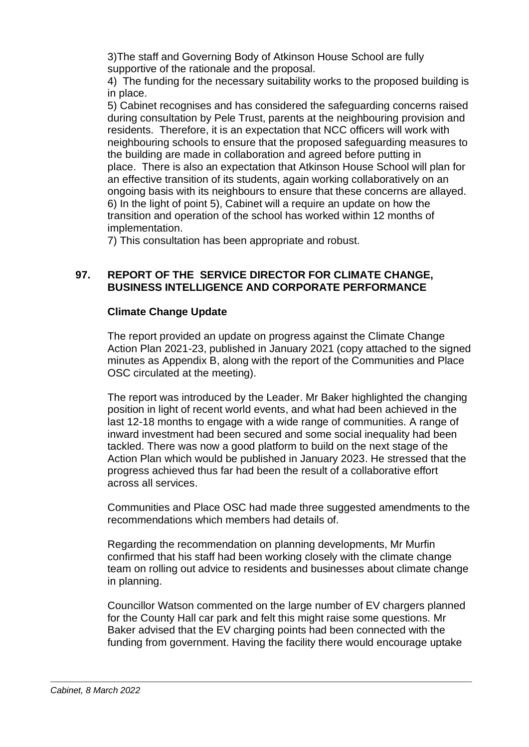3)The staff and Governing Body of Atkinson House School are fully supportive of the rationale and the proposal.

4) The funding for the necessary suitability works to the proposed building is in place.

5) Cabinet recognises and has considered the safeguarding concerns raised during consultation by Pele Trust, parents at the neighbouring provision and residents. Therefore, it is an expectation that NCC officers will work with neighbouring schools to ensure that the proposed safeguarding measures to the building are made in collaboration and agreed before putting in place. There is also an expectation that Atkinson House School will plan for an effective transition of its students, again working collaboratively on an ongoing basis with its neighbours to ensure that these concerns are allayed. 6) In the light of point 5), Cabinet will a require an update on how the transition and operation of the school has worked within 12 months of implementation.

7) This consultation has been appropriate and robust.

## **97. REPORT OF THE SERVICE DIRECTOR FOR CLIMATE CHANGE, BUSINESS INTELLIGENCE AND CORPORATE PERFORMANCE**

## **Climate Change Update**

The report provided an update on progress against the Climate Change Action Plan 2021-23, published in January 2021 (copy attached to the signed minutes as Appendix B, along with the report of the Communities and Place OSC circulated at the meeting).

The report was introduced by the Leader. Mr Baker highlighted the changing position in light of recent world events, and what had been achieved in the last 12-18 months to engage with a wide range of communities. A range of inward investment had been secured and some social inequality had been tackled. There was now a good platform to build on the next stage of the Action Plan which would be published in January 2023. He stressed that the progress achieved thus far had been the result of a collaborative effort across all services.

Communities and Place OSC had made three suggested amendments to the recommendations which members had details of.

Regarding the recommendation on planning developments, Mr Murfin confirmed that his staff had been working closely with the climate change team on rolling out advice to residents and businesses about climate change in planning.

Councillor Watson commented on the large number of EV chargers planned for the County Hall car park and felt this might raise some questions. Mr Baker advised that the EV charging points had been connected with the funding from government. Having the facility there would encourage uptake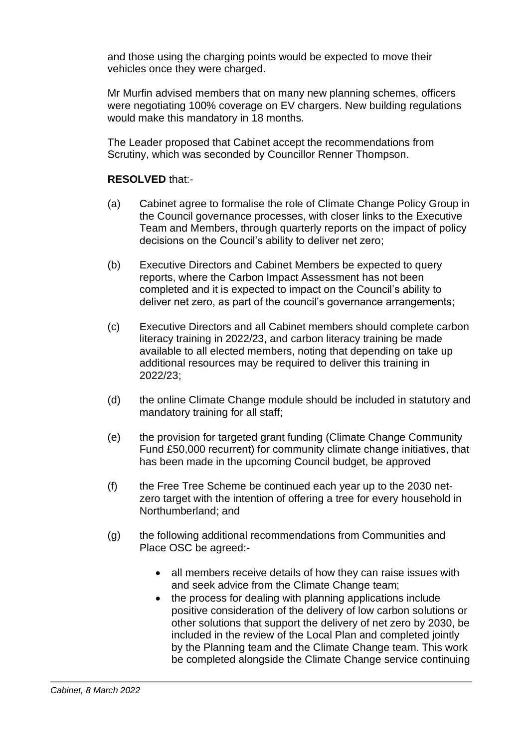and those using the charging points would be expected to move their vehicles once they were charged.

Mr Murfin advised members that on many new planning schemes, officers were negotiating 100% coverage on EV chargers. New building regulations would make this mandatory in 18 months.

The Leader proposed that Cabinet accept the recommendations from Scrutiny, which was seconded by Councillor Renner Thompson.

- (a) Cabinet agree to formalise the role of Climate Change Policy Group in the Council governance processes, with closer links to the Executive Team and Members, through quarterly reports on the impact of policy decisions on the Council's ability to deliver net zero;
- (b) Executive Directors and Cabinet Members be expected to query reports, where the Carbon Impact Assessment has not been completed and it is expected to impact on the Council's ability to deliver net zero, as part of the council's governance arrangements;
- (c) Executive Directors and all Cabinet members should complete carbon literacy training in 2022/23, and carbon literacy training be made available to all elected members, noting that depending on take up additional resources may be required to deliver this training in 2022/23;
- (d) the online Climate Change module should be included in statutory and mandatory training for all staff;
- (e) the provision for targeted grant funding (Climate Change Community Fund £50,000 recurrent) for community climate change initiatives, that has been made in the upcoming Council budget, be approved
- (f) the Free Tree Scheme be continued each year up to the 2030 netzero target with the intention of offering a tree for every household in Northumberland; and
- (g) the following additional recommendations from Communities and Place OSC be agreed:-
	- all members receive details of how they can raise issues with and seek advice from the Climate Change team;
	- the process for dealing with planning applications include positive consideration of the delivery of low carbon solutions or other solutions that support the delivery of net zero by 2030, be included in the review of the Local Plan and completed jointly by the Planning team and the Climate Change team. This work be completed alongside the Climate Change service continuing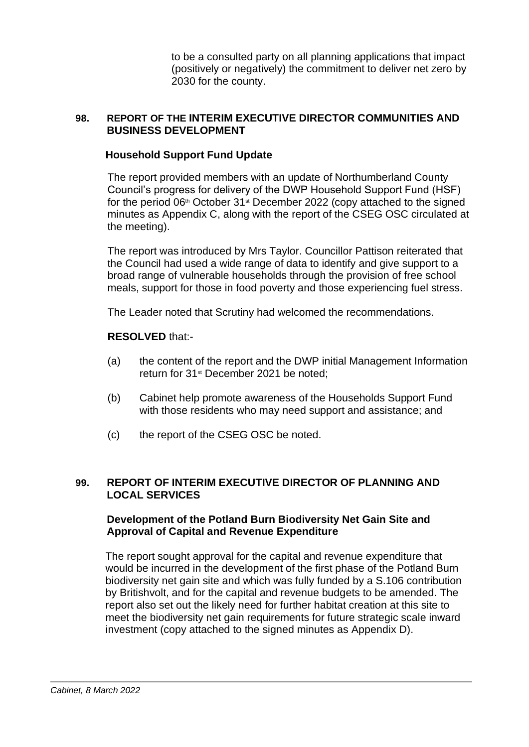to be a consulted party on all planning applications that impact (positively or negatively) the commitment to deliver net zero by 2030 for the county.

### **98. REPORT OF THE INTERIM EXECUTIVE DIRECTOR COMMUNITIES AND BUSINESS DEVELOPMENT**

### **Household Support Fund Update**

The report provided members with an update of Northumberland County Council's progress for delivery of the DWP Household Support Fund (HSF) for the period  $06<sup>th</sup>$  October 31 $<sup>st</sup>$  December 2022 (copy attached to the signed</sup> minutes as Appendix C, along with the report of the CSEG OSC circulated at the meeting).

The report was introduced by Mrs Taylor. Councillor Pattison reiterated that the Council had used a wide range of data to identify and give support to a broad range of vulnerable households through the provision of free school meals, support for those in food poverty and those experiencing fuel stress.

The Leader noted that Scrutiny had welcomed the recommendations.

### **RESOLVED** that:-

- (a) the content of the report and the DWP initial Management Information return for 31<sup>st</sup> December 2021 be noted;
- (b) Cabinet help promote awareness of the Households Support Fund with those residents who may need support and assistance; and
- (c) the report of the CSEG OSC be noted.

## **99. REPORT OF INTERIM EXECUTIVE DIRECTOR OF PLANNING AND LOCAL SERVICES**

## **Development of the Potland Burn Biodiversity Net Gain Site and Approval of Capital and Revenue Expenditure**

The report sought approval for the capital and revenue expenditure that would be incurred in the development of the first phase of the Potland Burn biodiversity net gain site and which was fully funded by a S.106 contribution by Britishvolt, and for the capital and revenue budgets to be amended. The report also set out the likely need for further habitat creation at this site to meet the biodiversity net gain requirements for future strategic scale inward investment (copy attached to the signed minutes as Appendix D).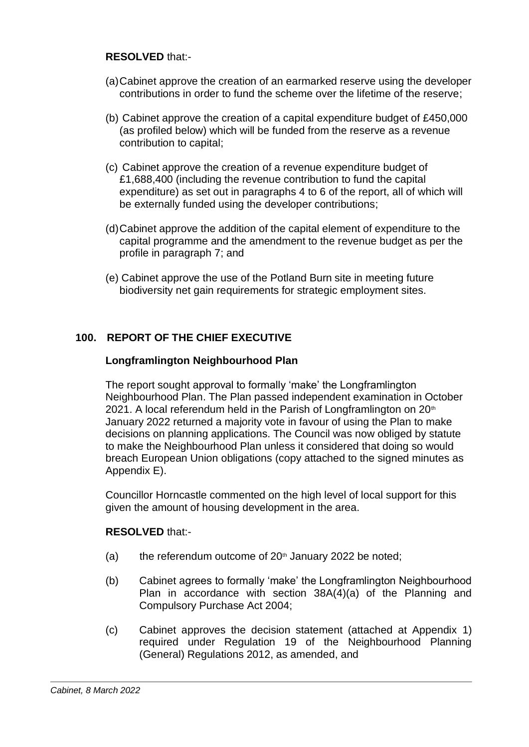## **RESOLVED** that:-

- (a)Cabinet approve the creation of an earmarked reserve using the developer contributions in order to fund the scheme over the lifetime of the reserve;
- (b) Cabinet approve the creation of a capital expenditure budget of £450,000 (as profiled below) which will be funded from the reserve as a revenue contribution to capital;
- (c) Cabinet approve the creation of a revenue expenditure budget of £1,688,400 (including the revenue contribution to fund the capital expenditure) as set out in paragraphs 4 to 6 of the report, all of which will be externally funded using the developer contributions;
- (d)Cabinet approve the addition of the capital element of expenditure to the capital programme and the amendment to the revenue budget as per the profile in paragraph 7; and
- (e) Cabinet approve the use of the Potland Burn site in meeting future biodiversity net gain requirements for strategic employment sites.

# **100. REPORT OF THE CHIEF EXECUTIVE**

# **Longframlington Neighbourhood Plan**

The report sought approval to formally 'make' the Longframlington Neighbourhood Plan. The Plan passed independent examination in October 2021. A local referendum held in the Parish of Longframlington on  $20<sup>th</sup>$ January 2022 returned a majority vote in favour of using the Plan to make decisions on planning applications. The Council was now obliged by statute to make the Neighbourhood Plan unless it considered that doing so would breach European Union obligations (copy attached to the signed minutes as Appendix E).

Councillor Horncastle commented on the high level of local support for this given the amount of housing development in the area.

- (a) the referendum outcome of  $20<sup>th</sup>$  January 2022 be noted;
- (b) Cabinet agrees to formally 'make' the Longframlington Neighbourhood Plan in accordance with section 38A(4)(a) of the Planning and Compulsory Purchase Act 2004;
- (c) Cabinet approves the decision statement (attached at Appendix 1) required under Regulation 19 of the Neighbourhood Planning (General) Regulations 2012, as amended, and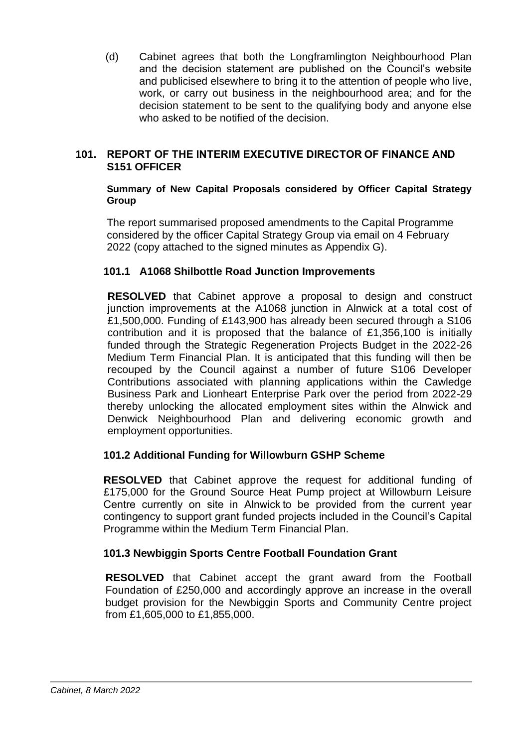(d) Cabinet agrees that both the Longframlington Neighbourhood Plan and the decision statement are published on the Council's website and publicised elsewhere to bring it to the attention of people who live, work, or carry out business in the neighbourhood area; and for the decision statement to be sent to the qualifying body and anyone else who asked to be notified of the decision.

## **101. REPORT OF THE INTERIM EXECUTIVE DIRECTOR OF FINANCE AND S151 OFFICER**

#### **Summary of New Capital Proposals considered by Officer Capital Strategy Group**

The report summarised proposed amendments to the Capital Programme considered by the officer Capital Strategy Group via email on 4 February 2022 (copy attached to the signed minutes as Appendix G).

## **101.1 A1068 Shilbottle Road Junction Improvements**

**RESOLVED** that Cabinet approve a proposal to design and construct junction improvements at the A1068 junction in Alnwick at a total cost of £1,500,000. Funding of £143,900 has already been secured through a S106 contribution and it is proposed that the balance of £1,356,100 is initially funded through the Strategic Regeneration Projects Budget in the 2022-26 Medium Term Financial Plan. It is anticipated that this funding will then be recouped by the Council against a number of future S106 Developer Contributions associated with planning applications within the Cawledge Business Park and Lionheart Enterprise Park over the period from 2022-29 thereby unlocking the allocated employment sites within the Alnwick and Denwick Neighbourhood Plan and delivering economic growth and employment opportunities.

# **101.2 Additional Funding for Willowburn GSHP Scheme**

**RESOLVED** that Cabinet approve the request for additional funding of £175,000 for the Ground Source Heat Pump project at Willowburn Leisure Centre currently on site in Alnwick to be provided from the current year contingency to support grant funded projects included in the Council's Capital Programme within the Medium Term Financial Plan.

# **101.3 Newbiggin Sports Centre Football Foundation Grant**

**RESOLVED** that Cabinet accept the grant award from the Football Foundation of £250,000 and accordingly approve an increase in the overall budget provision for the Newbiggin Sports and Community Centre project from £1,605,000 to £1,855,000.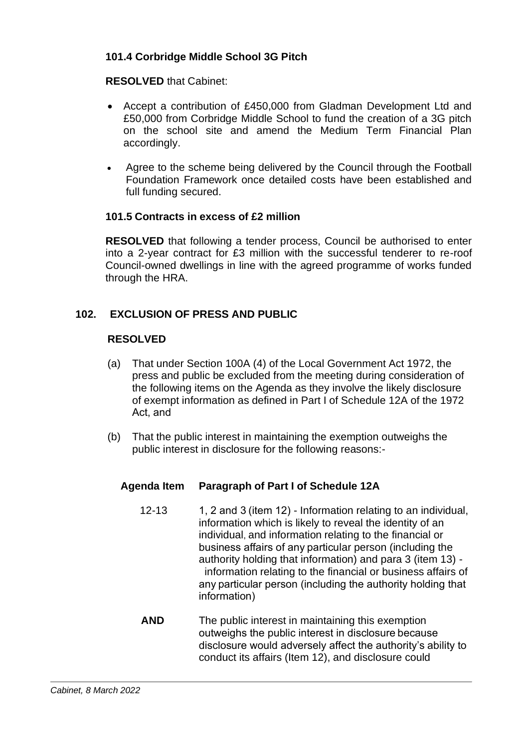# **101.4 Corbridge Middle School 3G Pitch**

# **RESOLVED** that Cabinet:

- Accept a contribution of £450,000 from Gladman Development Ltd and £50,000 from Corbridge Middle School to fund the creation of a 3G pitch on the school site and amend the Medium Term Financial Plan accordingly.
- Agree to the scheme being delivered by the Council through the Football Foundation Framework once detailed costs have been established and full funding secured.

## **101.5 Contracts in excess of £2 million**

**RESOLVED** that following a tender process, Council be authorised to enter into a 2-year contract for £3 million with the successful tenderer to re-roof Council-owned dwellings in line with the agreed programme of works funded through the HRA.

# **102. EXCLUSION OF PRESS AND PUBLIC**

## **RESOLVED**

- (a) That under Section 100A (4) of the Local Government Act 1972, the press and public be excluded from the meeting during consideration of the following items on the Agenda as they involve the likely disclosure of exempt information as defined in Part I of Schedule 12A of the 1972 Act, and
- (b) That the public interest in maintaining the exemption outweighs the public interest in disclosure for the following reasons:-

# **Agenda Item Paragraph of Part I of Schedule 12A**

- 12-13 1, 2 and 3 (item 12) Information relating to an individual, information which is likely to reveal the identity of an individual, and information relating to the financial or business affairs of any particular person (including the authority holding that information) and para 3 (item 13) information relating to the financial or business affairs of any particular person (including the authority holding that information)
- **AND** The public interest in maintaining this exemption outweighs the public interest in disclosure because disclosure would adversely affect the authority's ability to conduct its affairs (Item 12), and disclosure could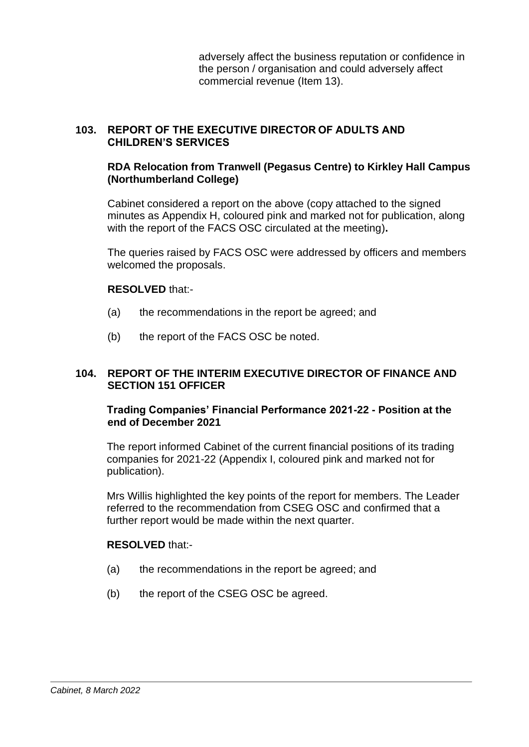adversely affect the business reputation or confidence in the person / organisation and could adversely affect commercial revenue (Item 13).

## **103. REPORT OF THE EXECUTIVE DIRECTOR OF ADULTS AND CHILDREN'S SERVICES**

## **RDA Relocation from Tranwell (Pegasus Centre) to Kirkley Hall Campus (Northumberland College)**

Cabinet considered a report on the above (copy attached to the signed minutes as Appendix H, coloured pink and marked not for publication, along with the report of the FACS OSC circulated at the meeting)**.**

The queries raised by FACS OSC were addressed by officers and members welcomed the proposals.

### **RESOLVED** that:-

- (a) the recommendations in the report be agreed; and
- (b) the report of the FACS OSC be noted.

### **104. REPORT OF THE INTERIM EXECUTIVE DIRECTOR OF FINANCE AND SECTION 151 OFFICER**

### **Trading Companies' Financial Performance 2021-22 - Position at the end of December 2021**

The report informed Cabinet of the current financial positions of its trading companies for 2021-22 (Appendix I, coloured pink and marked not for publication).

Mrs Willis highlighted the key points of the report for members. The Leader referred to the recommendation from CSEG OSC and confirmed that a further report would be made within the next quarter.

- (a) the recommendations in the report be agreed; and
- (b) the report of the CSEG OSC be agreed.